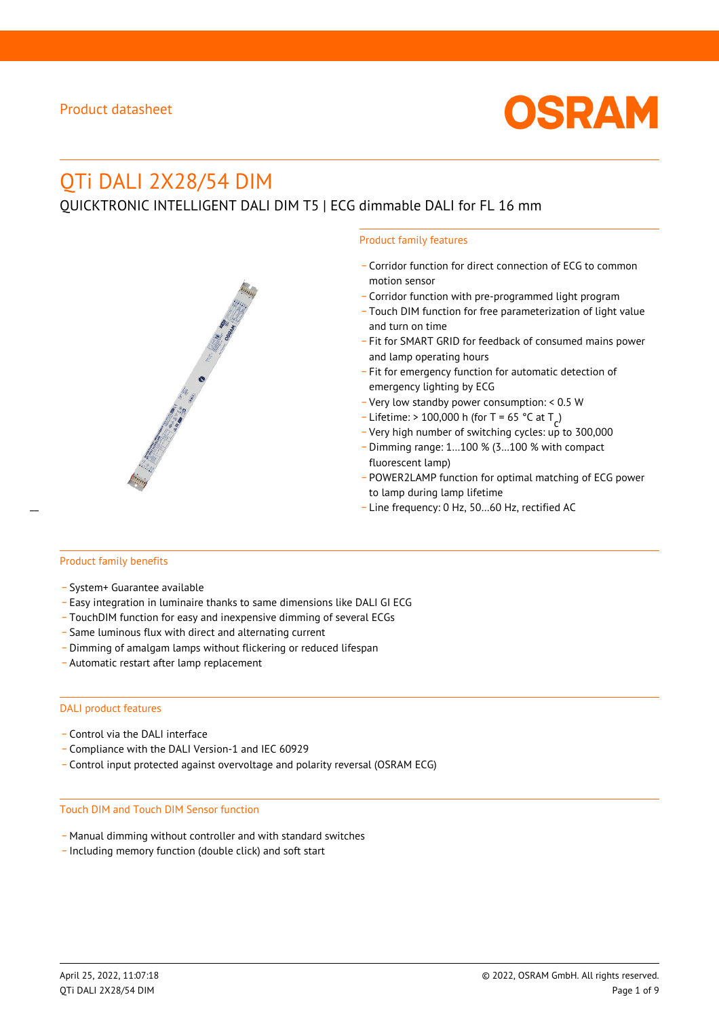

# QTi DALI 2X28/54 DIM

QUICKTRONIC INTELLIGENT DALI DIM T5 | ECG dimmable DALI for FL 16 mm



- \_ Corridor function for direct connection of ECG to common motion sensor
- \_ Corridor function with pre-programmed light program
- \_ Touch DIM function for free parameterization of light value and turn on time
- Fit for SMART GRID for feedback of consumed mains power and lamp operating hours
- \_ Fit for emergency function for automatic detection of emergency lighting by ECG
- \_ Very low standby power consumption: < 0.5 W
- $-$  Lifetime: > 100,000 h (for T = 65 °C at T
- Litedine. The 100,000 in (ion 1 05 ° C at  $1\frac{c^7}{c^7}$ <br>- Very high number of switching cycles: up to 300,000
- \_ Dimming range: 1…100 % (3…100 % with compact fluorescent lamp)
- POWER2LAMP function for optimal matching of ECG power to lamp during lamp lifetime
- Line frequency: 0 Hz, 50...60 Hz, rectified AC

#### Product family benefits

- \_ System+ Guarantee available
- \_ Easy integration in luminaire thanks to same dimensions like DALI GI ECG
- \_ TouchDIM function for easy and inexpensive dimming of several ECGs
- \_ Same luminous flux with direct and alternating current
- \_ Dimming of amalgam lamps without flickering or reduced lifespan
- \_ Automatic restart after lamp replacement

#### DALI product features

- Control via the DALI interface
- \_ Compliance with the DALI Version-1 and IEC 60929
- \_ Control input protected against overvoltage and polarity reversal (OSRAM ECG)

#### Touch DIM and Touch DIM Sensor function

- \_ Manual dimming without controller and with standard switches
- \_ Including memory function (double click) and soft start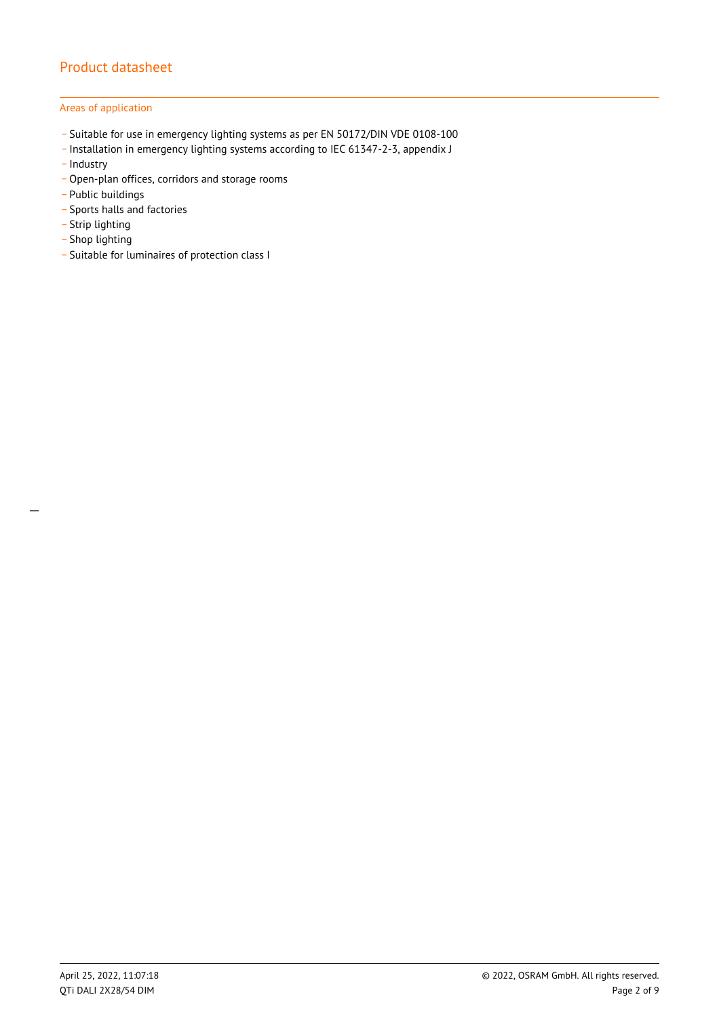### Areas of application

- \_ Suitable for use in emergency lighting systems as per EN 50172/DIN VDE 0108-100
- \_ Installation in emergency lighting systems according to IEC 61347-2-3, appendix J
- Industry
- \_ Open-plan offices, corridors and storage rooms
- \_ Public buildings
- \_ Sports halls and factories
- .<br>- Strip lighting
- \_ Shop lighting
- \_ Suitable for luminaires of protection class I

 $\overline{a}$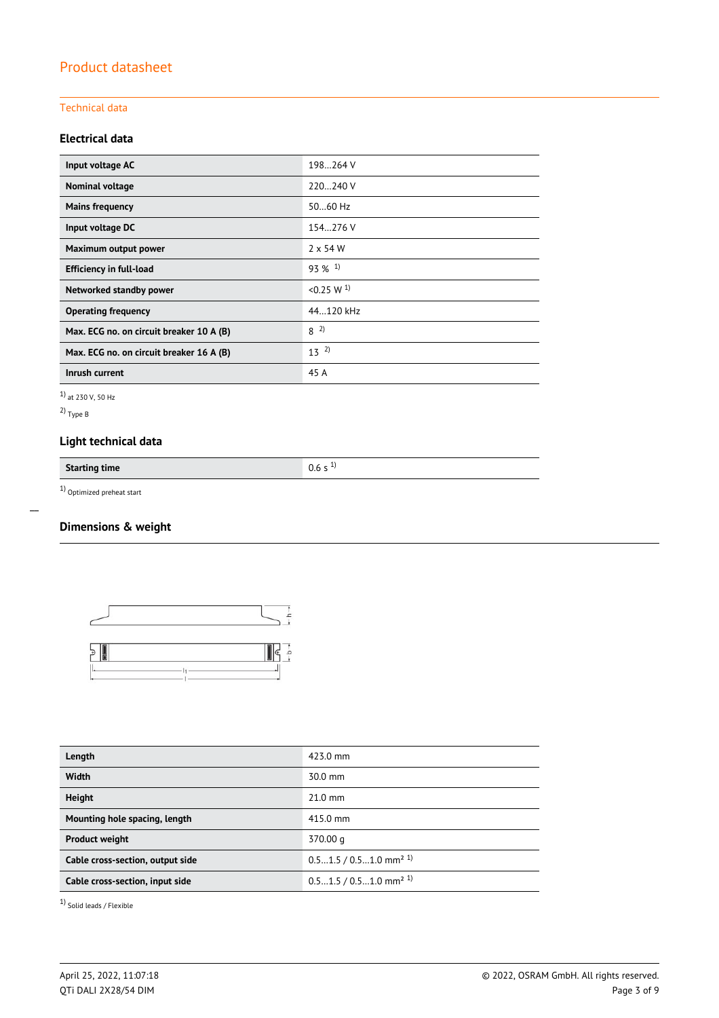### Technical data

## **Electrical data**

| Input voltage AC                         | 198264 V              |
|------------------------------------------|-----------------------|
| Nominal voltage                          | 220240 V              |
| <b>Mains frequency</b>                   | $5060$ Hz             |
| Input voltage DC                         | 154.276 V             |
| Maximum output power                     | $2 \times 54$ W       |
| <b>Efficiency in full-load</b>           | $93\%$ <sup>1)</sup>  |
| Networked standby power                  | < 0.25 W <sup>1</sup> |
| <b>Operating frequency</b>               | 44.120 kHz            |
| Max. ECG no. on circuit breaker 10 A (B) | $8^{2}$               |
| Max. ECG no. on circuit breaker 16 A (B) | $13^{2}$              |
| Inrush current                           | 45 A                  |

1) at 230 V, 50 Hz

2) Type B

 $\overline{a}$ 

## **Light technical data**

**Starting time** 0.6 s <sup>1)</sup>

 $1)$  Optimized preheat start

## **Dimensions & weight**



| Length                           | 423.0 mm                             |
|----------------------------------|--------------------------------------|
| <b>Width</b>                     | $30.0$ mm                            |
| <b>Height</b>                    | $21.0$ mm                            |
| Mounting hole spacing, length    | 415.0 mm                             |
| <b>Product weight</b>            | 370.00 g                             |
| Cable cross-section, output side | $0.51.5 / 0.51.0$ mm <sup>2 1)</sup> |
| Cable cross-section, input side  | $0.51.5 / 0.51.0$ mm <sup>2 1)</sup> |
|                                  |                                      |

1) Solid leads / Flexible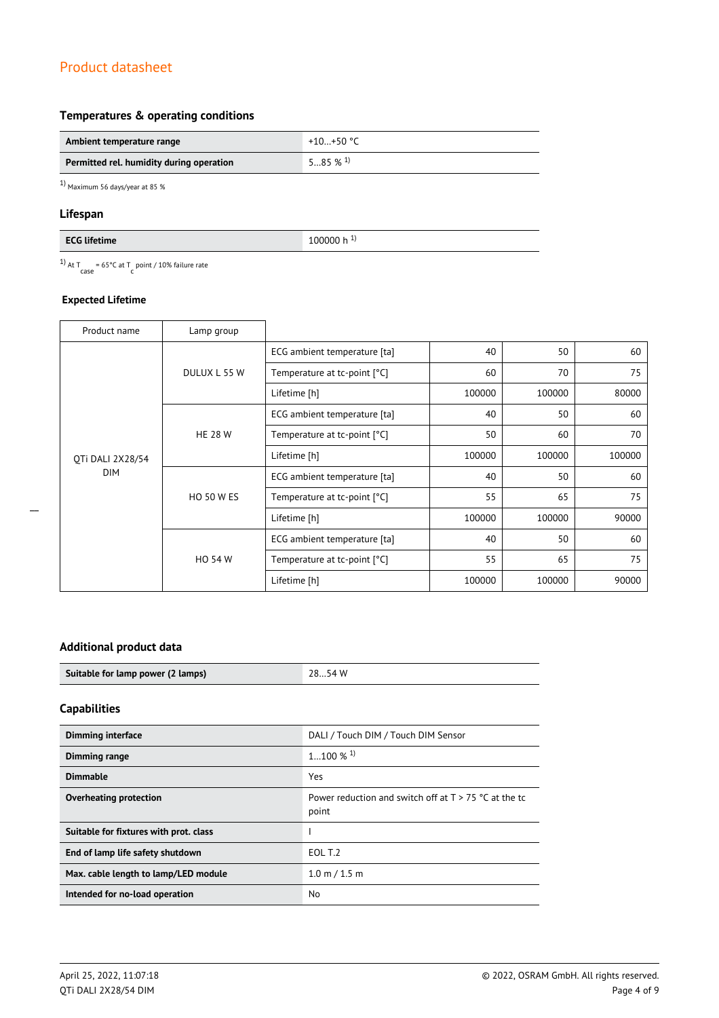## **Temperatures & operating conditions**

| Ambient temperature range                | +10…+50 °C            |
|------------------------------------------|-----------------------|
| Permitted rel. humidity during operation | $585\%$ <sup>1)</sup> |

 $1)$  Maximum 56 days/year at 85  $\%$ 

### **Lifespan**

| <b>FCG lifetii</b><br>ле<br>----<br>. <b>.</b> | m<br><b>.</b><br>TOODOO II |
|------------------------------------------------|----------------------------|

<sup>1)</sup> At T<sub>case</sub> = 65°C at T<sub>c</sub> point / 10% failure rate

### **Expected Lifetime**

| Product name     | Lamp group        |                              |        |        |        |
|------------------|-------------------|------------------------------|--------|--------|--------|
|                  | DULUX L 55 W      | ECG ambient temperature [ta] | 40     | 50     | 60     |
|                  |                   | Temperature at tc-point [°C] | 60     | 70     | 75     |
|                  |                   | Lifetime [h]                 | 100000 | 100000 | 80000  |
|                  |                   | ECG ambient temperature [ta] | 40     | 50     | 60     |
|                  | <b>HE 28 W</b>    | Temperature at tc-point [°C] | 50     | 60     | 70     |
| OTi DALI 2X28/54 |                   | Lifetime [h]                 | 100000 | 100000 | 100000 |
| <b>DIM</b>       |                   | ECG ambient temperature [ta] | 40     | 50     | 60     |
|                  | <b>HO 50 W ES</b> | Temperature at tc-point [°C] | 55     | 65     | 75     |
|                  |                   | Lifetime [h]                 | 100000 | 100000 | 90000  |
|                  | <b>HO 54 W</b>    | ECG ambient temperature [ta] | 40     | 50     | 60     |
|                  |                   | Temperature at tc-point [°C] | 55     | 65     | 75     |
|                  |                   | Lifetime [h]                 | 100000 | 100000 | 90000  |

## **Additional product data**

| Suitable for lamp power (2 lamps) | 28…54 W |
|-----------------------------------|---------|
|                                   |         |

# **Capabilities**

 $\overline{a}$ 

| <b>Dimming interface</b>               | DALI / Touch DIM / Touch DIM Sensor                              |
|----------------------------------------|------------------------------------------------------------------|
| <b>Dimming range</b>                   | $1100\%$ <sup>1)</sup>                                           |
| <b>Dimmable</b>                        | Yes                                                              |
| Overheating protection                 | Power reduction and switch off at $T > 75$ °C at the tc<br>point |
| Suitable for fixtures with prot. class |                                                                  |
| End of lamp life safety shutdown       | EOL T.2                                                          |
| Max. cable length to lamp/LED module   | 1.0 m / 1.5 m                                                    |
| Intended for no-load operation         | No                                                               |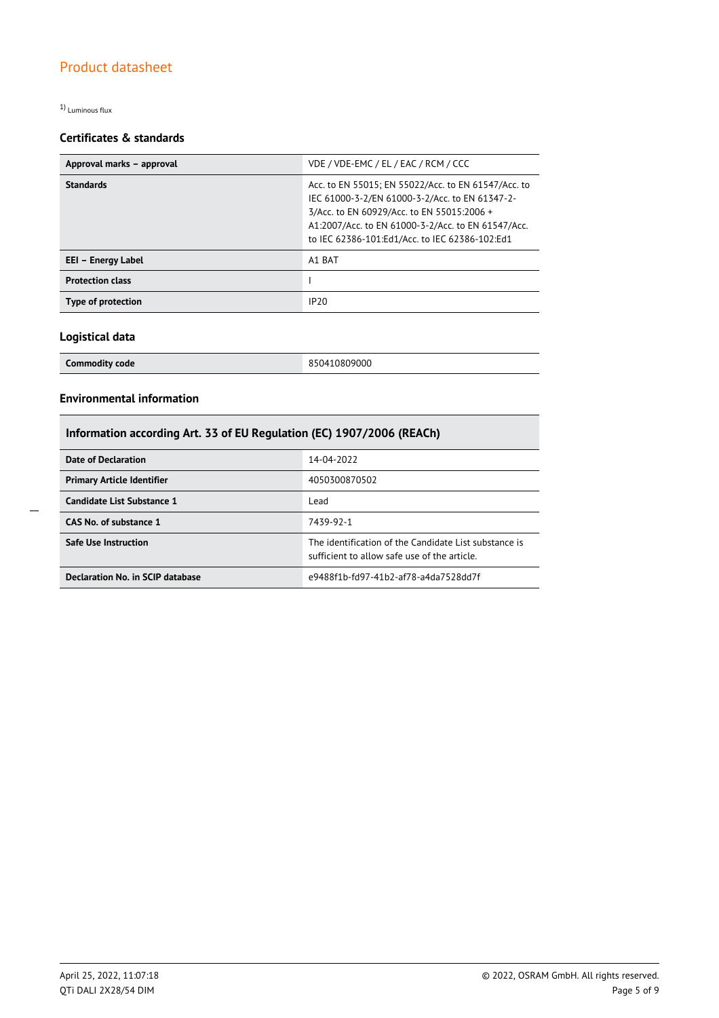1) Luminous flux

## **Certificates & standards**

| Approval marks - approval | VDE / VDE-EMC / EL / EAC / RCM / CCC                                                                                                                                                                                                                        |  |
|---------------------------|-------------------------------------------------------------------------------------------------------------------------------------------------------------------------------------------------------------------------------------------------------------|--|
| <b>Standards</b>          | Acc. to EN 55015; EN 55022/Acc. to EN 61547/Acc. to<br>IEC 61000-3-2/EN 61000-3-2/Acc. to EN 61347-2-<br>3/Acc. to EN 60929/Acc. to EN 55015:2006 +<br>A1:2007/Acc. to EN 61000-3-2/Acc. to EN 61547/Acc.<br>to IEC 62386-101:Ed1/Acc. to IEC 62386-102:Ed1 |  |
| EEI - Energy Label        | A1 BAT                                                                                                                                                                                                                                                      |  |
| <b>Protection class</b>   |                                                                                                                                                                                                                                                             |  |
| Type of protection        | IP20                                                                                                                                                                                                                                                        |  |

### **Logistical data**

| <b>Commodity code</b> | 850410809000 |
|-----------------------|--------------|
|                       |              |

## **Environmental information**

## **Information according Art. 33 of EU Regulation (EC) 1907/2006 (REACh)**

| Date of Declaration               | 14-04-2022                                                                                            |
|-----------------------------------|-------------------------------------------------------------------------------------------------------|
| <b>Primary Article Identifier</b> | 4050300870502                                                                                         |
| Candidate List Substance 1        | Lead                                                                                                  |
| CAS No. of substance 1            | 7439-92-1                                                                                             |
| <b>Safe Use Instruction</b>       | The identification of the Candidate List substance is<br>sufficient to allow safe use of the article. |
| Declaration No. in SCIP database  | e9488f1b-fd97-41b2-af78-a4da7528dd7f                                                                  |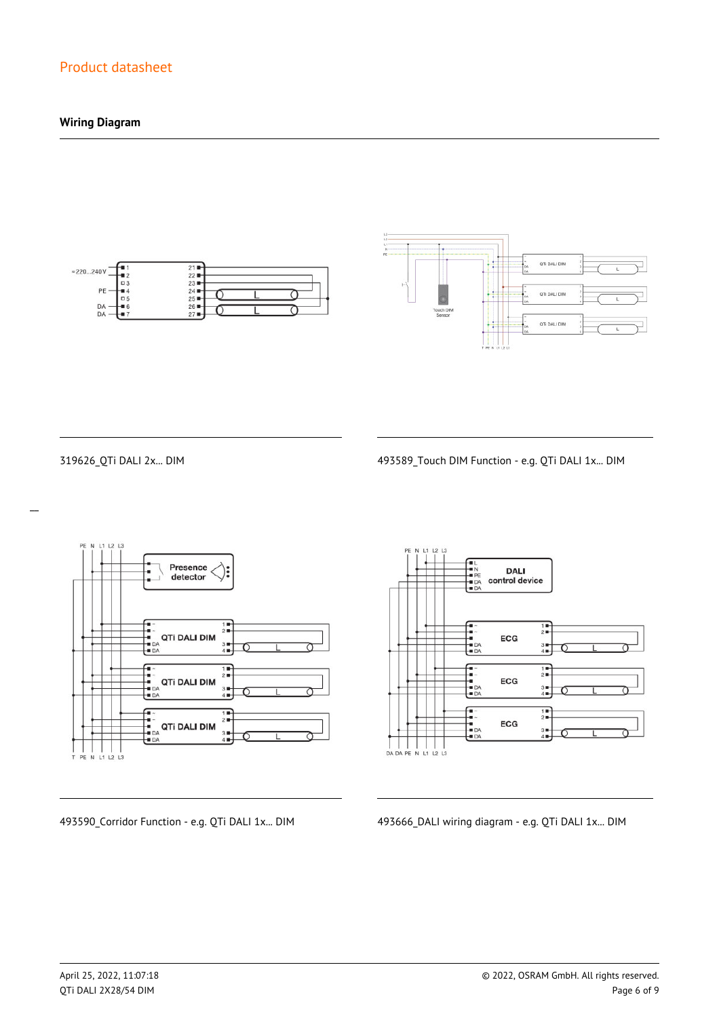## **Wiring Diagram**





 $\overline{a}$ 

319626\_QTi DALI 2x... DIM 493589\_Touch DIM Function - e.g. QTi DALI 1x... DIM



**DALI** control device  $\frac{1}{2}$ ECG  $\frac{3}{4}$  $\begin{array}{c}\n\overline{11} \\
\overline{21} \\
\overline{11}\n\end{array}$ -<br>- 1<br>- DA<br>- DA ECG  $3 +$ <br> $4 +$  $\frac{1}{2}$ --<br>--<br>-- DA<br>-- DA ECG  $3 +$ <br> $4 +$ 

493590\_Corridor Function - e.g. QTi DALI 1x... DIM 493666\_DALI wiring diagram - e.g. QTi DALI 1x... DIM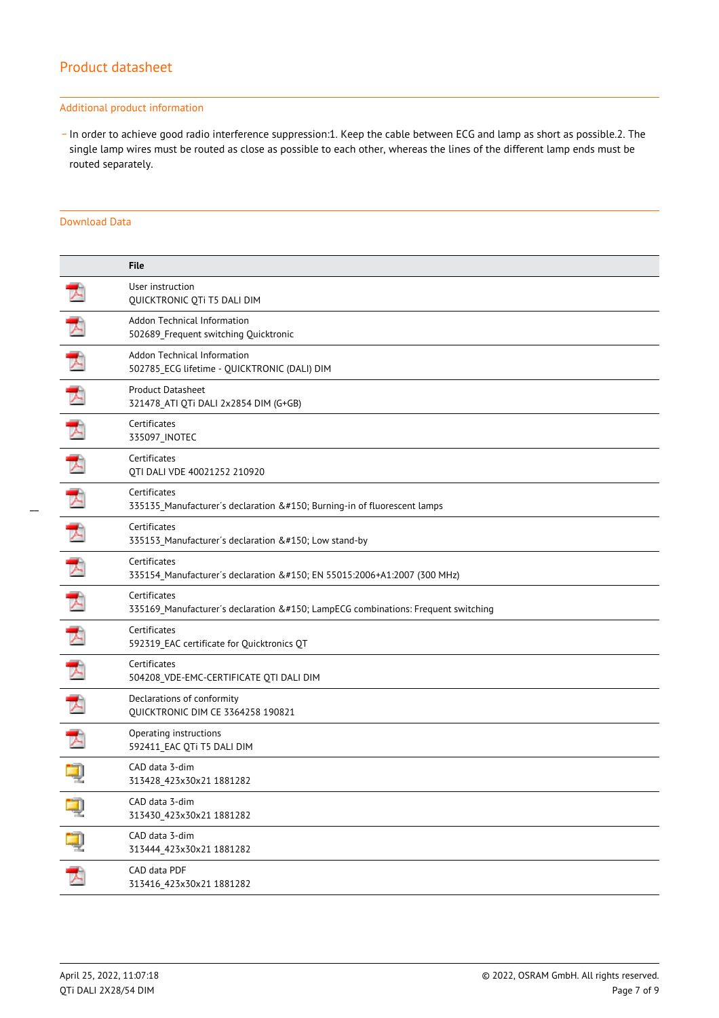#### Additional product information

\_ In order to achieve good radio interference suppression:1. Keep the cable between ECG and lamp as short as possible.2. The single lamp wires must be routed as close as possible to each other, whereas the lines of the different lamp ends must be routed separately.

#### Download Data

|   | <b>File</b>                                                                                  |
|---|----------------------------------------------------------------------------------------------|
|   | User instruction<br>QUICKTRONIC QTi T5 DALI DIM                                              |
|   | Addon Technical Information<br>502689 Frequent switching Quicktronic                         |
| ᆺ | Addon Technical Information<br>502785_ECG lifetime - QUICKTRONIC (DALI) DIM                  |
|   | <b>Product Datasheet</b><br>321478 ATI QTi DALI 2x2854 DIM (G+GB)                            |
|   | Certificates<br>335097_INOTEC                                                                |
| ⊀ | Certificates<br>QTI DALI VDE 40021252 210920                                                 |
|   | Certificates<br>335135_Manufacturer's declaration – Burning-in of fluorescent lamps          |
| 入 | Certificates<br>335153_Manufacturer's declaration – Low stand-by                             |
| 天 | Certificates<br>335154_Manufacturer's declaration – EN 55015:2006+A1:2007 (300 MHz)          |
|   | Certificates<br>335169_Manufacturer's declaration – LampECG combinations: Frequent switching |
| 入 | Certificates<br>592319_EAC certificate for Quicktronics QT                                   |
|   | Certificates<br>504208_VDE-EMC-CERTIFICATE QTI DALI DIM                                      |
|   | Declarations of conformity<br>QUICKTRONIC DIM CE 3364258 190821                              |
|   | Operating instructions<br>592411_EAC QTi T5 DALI DIM                                         |
|   | CAD data 3-dim<br>313428_423x30x21 1881282                                                   |
|   | CAD data 3-dim<br>313430_423x30x21 1881282                                                   |
| ą | CAD data 3-dim<br>313444_423x30x21 1881282                                                   |
| プ | CAD data PDF<br>313416_423x30x21 1881282                                                     |
|   |                                                                                              |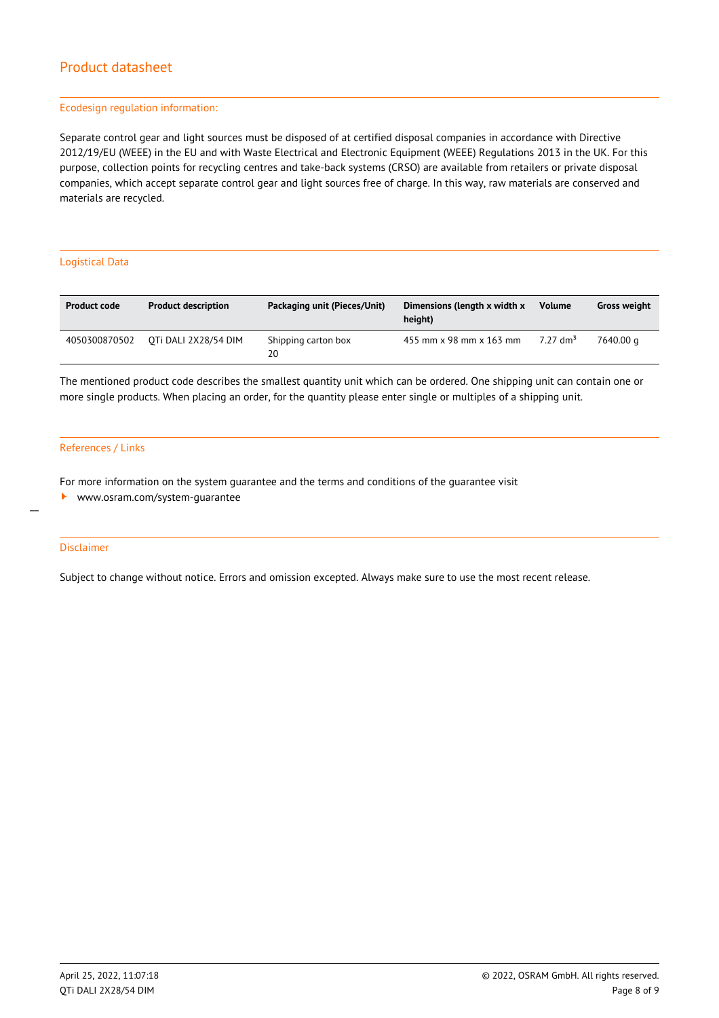#### Ecodesign regulation information:

Separate control gear and light sources must be disposed of at certified disposal companies in accordance with Directive 2012/19/EU (WEEE) in the EU and with Waste Electrical and Electronic Equipment (WEEE) Regulations 2013 in the UK. For this purpose, collection points for recycling centres and take-back systems (CRSO) are available from retailers or private disposal companies, which accept separate control gear and light sources free of charge. In this way, raw materials are conserved and materials are recycled.

#### Logistical Data

| <b>Product code</b> | <b>Product description</b> | Packaging unit (Pieces/Unit) | Dimensions (length x width x<br>height) | <b>Volume</b>        | <b>Gross weight</b> |
|---------------------|----------------------------|------------------------------|-----------------------------------------|----------------------|---------------------|
| 4050300870502       | OTI DALI 2X28/54 DIM       | Shipping carton box<br>20    | 455 mm x 98 mm x 163 mm                 | 7.27 dm <sup>3</sup> | 7640.00 a           |

The mentioned product code describes the smallest quantity unit which can be ordered. One shipping unit can contain one or more single products. When placing an order, for the quantity please enter single or multiples of a shipping unit.

#### References / Links

For more information on the system guarantee and the terms and conditions of the guarantee visit

<www.osram.com/system-guarantee>

#### Disclaimer

 $\overline{a}$ 

Subject to change without notice. Errors and omission excepted. Always make sure to use the most recent release.